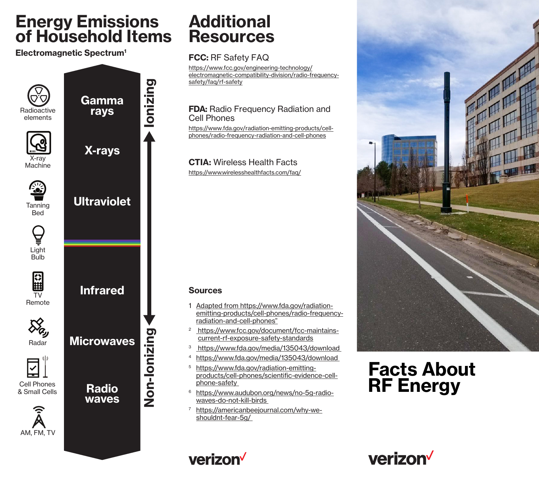# **Energy Emissions of Household Items**

#### **Electromagnetic Spectrum1**



## **Additional Resources**

### **FCC:** RF Safety FAQ

https://www.fcc.gov/engineering-technology/ [electromagnetic-compatibility-division/radio-frequency](https://www.fcc.gov/engineering-technology/electromagnetic-compatibility-division/radio-frequency-safety/faq/rf-safety)safety/faq/rf-safety

#### **FDA: Radio Frequency Radiation and** Cell Phones

https://www.fda.gov/radiation-emitting-products/cellphones/radio-frequency-radiation-and-cell-phones

## **CTIA:** Wireless Health Facts

https://www.wirelesshealthfacts.com/faq/

#### **Sources**

- 1 Adapted from https://www.fda.gov/radiationemitting-products/cell-phones/radio-frequencyradiation-and-cell-phones"
- <sup>2</sup> https://www.fcc.gov/document/fcc-maintainscurrent-rf-exposure-safety-standards
- 3 https://www.fda.gov/media/135043/download
- <sup>4</sup> https://www.fda.gov/media/135043/download
- <sup>5</sup> https://www.fda.gov/radiation-emittingproducts/cell-phones/scientific-evidence-cellphone-safety
- <sup>6</sup> https://www.audubon.org/news/no-5g-radiowaves-do-not-kill-birds
- <sup>7</sup> https://americanbeejournal.com/why-weshouldnt-fear-5g/



# **Facts About RF Energy**